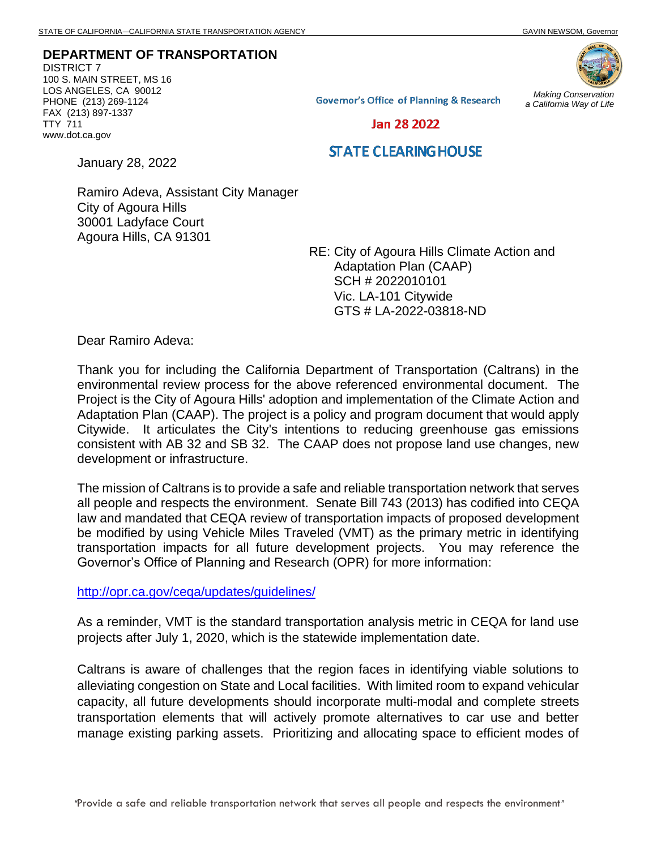**DEPARTMENT OF TRANSPORTATION** DISTRICT 7 100 S. MAIN STREET, MS 16

LOS ANGELES, CA 90012 PHONE (213) 269-1124 FAX (213) 897-1337 TTY 711 www.dot.ca.gov



**Governor's Office of Planning & Research** 

*Making Conservation a California Way of Life*

Jan 28 2022

## **STATE CLEARING HOUSE**

January 28, 2022

Ramiro Adeva, Assistant City Manager City of Agoura Hills 30001 Ladyface Court Agoura Hills, CA 91301

> RE: City of Agoura Hills Climate Action and Adaptation Plan (CAAP) SCH # 2022010101 Vic. LA-101 Citywide GTS # LA-2022-03818-ND

Dear Ramiro Adeva:

Thank you for including the California Department of Transportation (Caltrans) in the environmental review process for the above referenced environmental document. The Project is the City of Agoura Hills' adoption and implementation of the Climate Action and Adaptation Plan (CAAP). The project is a policy and program document that would apply Citywide. It articulates the City's intentions to reducing greenhouse gas emissions consistent with AB 32 and SB 32. The CAAP does not propose land use changes, new development or infrastructure.

The mission of Caltrans is to provide a safe and reliable transportation network that serves all people and respects the environment. Senate Bill 743 (2013) has codified into CEQA law and mandated that CEQA review of transportation impacts of proposed development be modified by using Vehicle Miles Traveled (VMT) as the primary metric in identifying transportation impacts for all future development projects. You may reference the Governor's Office of Planning and Research (OPR) for more information:

<http://opr.ca.gov/ceqa/updates/guidelines/>

As a reminder, VMT is the standard transportation analysis metric in CEQA for land use projects after July 1, 2020, which is the statewide implementation date.

Caltrans is aware of challenges that the region faces in identifying viable solutions to alleviating congestion on State and Local facilities. With limited room to expand vehicular capacity, all future developments should incorporate multi-modal and complete streets transportation elements that will actively promote alternatives to car use and better manage existing parking assets. Prioritizing and allocating space to efficient modes of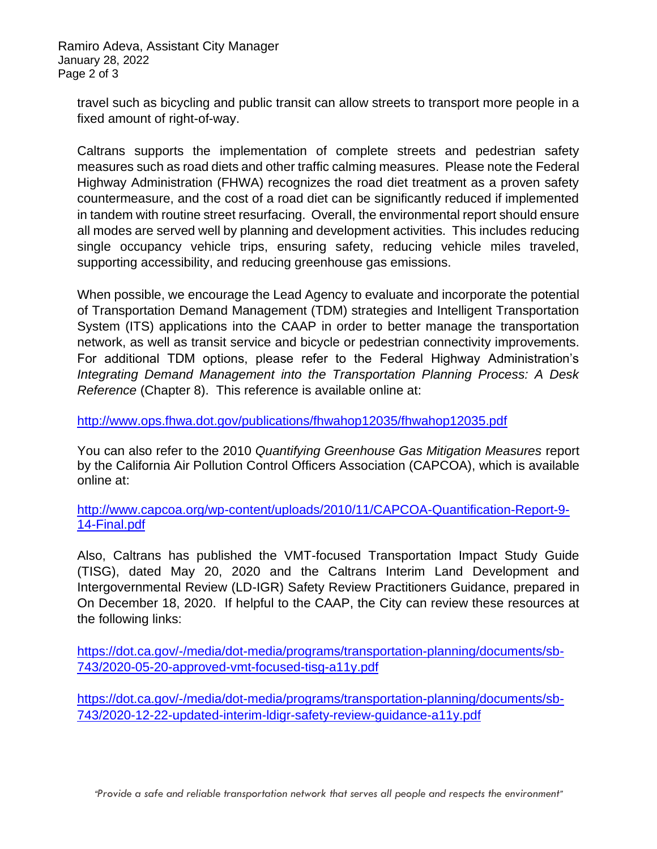Ramiro Adeva, Assistant City Manager January 28, 2022 Page 2 of 3

travel such as bicycling and public transit can allow streets to transport more people in a fixed amount of right-of-way.

Caltrans supports the implementation of complete streets and pedestrian safety measures such as road diets and other traffic calming measures. Please note the Federal Highway Administration (FHWA) recognizes the road diet treatment as a proven safety countermeasure, and the cost of a road diet can be significantly reduced if implemented in tandem with routine street resurfacing. Overall, the environmental report should ensure all modes are served well by planning and development activities. This includes reducing single occupancy vehicle trips, ensuring safety, reducing vehicle miles traveled, supporting accessibility, and reducing greenhouse gas emissions.

When possible, we encourage the Lead Agency to evaluate and incorporate the potential of Transportation Demand Management (TDM) strategies and Intelligent Transportation System (ITS) applications into the CAAP in order to better manage the transportation network, as well as transit service and bicycle or pedestrian connectivity improvements. For additional TDM options, please refer to the Federal Highway Administration's *Integrating Demand Management into the Transportation Planning Process: A Desk Reference* (Chapter 8).This reference is available online at:

<http://www.ops.fhwa.dot.gov/publications/fhwahop12035/fhwahop12035.pdf>

You can also refer to the 2010 *Quantifying Greenhouse Gas Mitigation Measures* report by the California Air Pollution Control Officers Association (CAPCOA), which is available online at:

[http://www.capcoa.org/wp-content/uploads/2010/11/CAPCOA-Quantification-Report-9-](http://www.capcoa.org/wp-content/uploads/2010/11/CAPCOA-Quantification-Report-9-14-Final.pdf) [14-Final.pdf](http://www.capcoa.org/wp-content/uploads/2010/11/CAPCOA-Quantification-Report-9-14-Final.pdf)

Also, Caltrans has published the VMT-focused Transportation Impact Study Guide (TISG), dated May 20, 2020 and the Caltrans Interim Land Development and Intergovernmental Review (LD-IGR) Safety Review Practitioners Guidance, prepared in On December 18, 2020. If helpful to the CAAP, the City can review these resources at the following links:

[https://dot.ca.gov/-/media/dot-media/programs/transportation-planning/documents/sb-](https://dot.ca.gov/-/media/dot-media/programs/transportation-planning/documents/sb-743/2020-05-20-approved-vmt-focused-tisg-a11y.pdf)[743/2020-05-20-approved-vmt-focused-tisg-a11y.pdf](https://dot.ca.gov/-/media/dot-media/programs/transportation-planning/documents/sb-743/2020-05-20-approved-vmt-focused-tisg-a11y.pdf)

[https://dot.ca.gov/-/media/dot-media/programs/transportation-planning/documents/sb-](https://dot.ca.gov/-/media/dot-media/programs/transportation-planning/documents/sb-743/2020-12-22-updated-interim-ldigr-safety-review-guidance-a11y.pdf)[743/2020-12-22-updated-interim-ldigr-safety-review-guidance-a11y.pdf](https://dot.ca.gov/-/media/dot-media/programs/transportation-planning/documents/sb-743/2020-12-22-updated-interim-ldigr-safety-review-guidance-a11y.pdf)